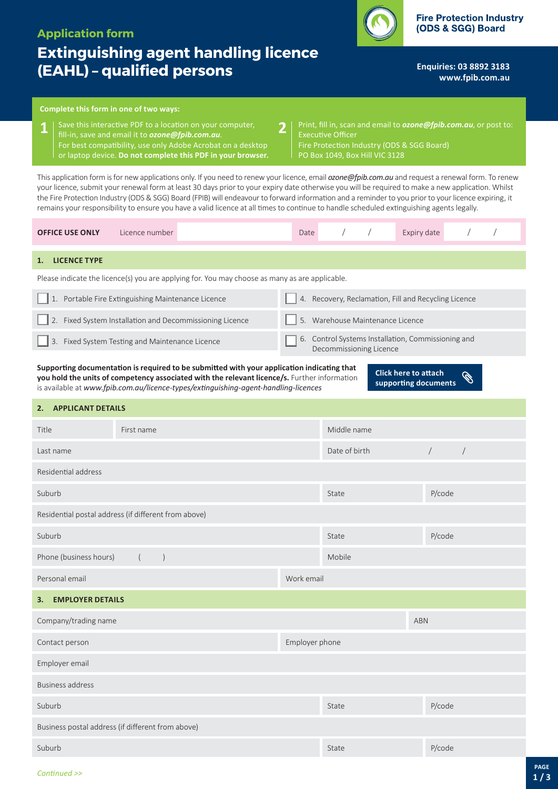# **Application form**

# **Extinguishing agent handling licence (EAHL) – qualified persons**

(ODS & SGG) Board

**Fire Protection Industry** 

**Enquiries: 03 8892 3183 <www.fpib.com.au>**

## **Complete this form in one of two ways:**

- **1** Save this interactive PDF to a location on your computer, **2**<br>**1 i** fill-in, save and email it to **ozone@foib.com.au**. fill-in, save and email it to *[ozone@fpib.com.au](mailto:ozone@fpib.com.au)*. For best compatibility, use only Adobe Acrobat on a desktop or laptop device. **Do not complete this PDF in your browser.**
- Print, fill in, scan and email to *[ozone@fpib.com.au](mailto:)*, or post to: Executive Officer Fire Protection Industry (ODS & SGG Board) PO Box 1049, Box Hill VIC 3128

This application form is for new applications only. If you need to renew your licence, email *[ozone@fpib.com.au](mailto:ozone@fpib.com.au)* and request a renewal form. To renew your licence, submit your renewal form at least 30 days prior to your expiry date otherwise you will be required to make a new application. Whilst the Fire Protection Industry (ODS & SGG) Board (FPIB) will endeavour to forward information and a reminder to you prior to your licence expiring, it remains your responsibility to ensure you have a valid licence at all times to continue to handle scheduled extinguishing agents legally.

| Licence number<br><b>OFFICE USE ONLY</b>                                                                                                                                                                                                                                                                                                                                                                                                                         | Date           |                                                                               |  | Expiry date |        |            |  |
|------------------------------------------------------------------------------------------------------------------------------------------------------------------------------------------------------------------------------------------------------------------------------------------------------------------------------------------------------------------------------------------------------------------------------------------------------------------|----------------|-------------------------------------------------------------------------------|--|-------------|--------|------------|--|
| <b>LICENCE TYPE</b><br>1.                                                                                                                                                                                                                                                                                                                                                                                                                                        |                |                                                                               |  |             |        |            |  |
| Please indicate the licence(s) you are applying for. You may choose as many as are applicable.                                                                                                                                                                                                                                                                                                                                                                   |                |                                                                               |  |             |        |            |  |
| 1. Portable Fire Extinguishing Maintenance Licence                                                                                                                                                                                                                                                                                                                                                                                                               |                | 4. Recovery, Reclamation, Fill and Recycling Licence                          |  |             |        |            |  |
| 2. Fixed System Installation and Decommissioning Licence                                                                                                                                                                                                                                                                                                                                                                                                         |                | 5. Warehouse Maintenance Licence                                              |  |             |        |            |  |
| 3. Fixed System Testing and Maintenance Licence                                                                                                                                                                                                                                                                                                                                                                                                                  |                | 6. Control Systems Installation, Commissioning and<br>Decommissioning Licence |  |             |        |            |  |
| Supporting documentation is required to be submitted with your application indicating that<br><b>Click here to attach</b><br><b>Comparison Comparison Comparison Comparison Comparison Comparison Comparison Comparison Comparison Comparison</b><br>you hold the units of competency associated with the relevant licence/s. Further information<br>supporting documents<br>is available at www.fpib.com.au/licence-types/extinguishing-agent-handling-licences |                |                                                                               |  |             |        |            |  |
| <b>APPLICANT DETAILS</b><br>2.                                                                                                                                                                                                                                                                                                                                                                                                                                   |                |                                                                               |  |             |        |            |  |
| First name<br>Title                                                                                                                                                                                                                                                                                                                                                                                                                                              | Middle name    |                                                                               |  |             |        |            |  |
| Last name                                                                                                                                                                                                                                                                                                                                                                                                                                                        |                | Date of birth                                                                 |  | $\sqrt{2}$  |        | $\sqrt{2}$ |  |
| Residential address                                                                                                                                                                                                                                                                                                                                                                                                                                              |                |                                                                               |  |             |        |            |  |
| Suburb                                                                                                                                                                                                                                                                                                                                                                                                                                                           |                | State                                                                         |  |             | P/code |            |  |
| Residential postal address (if different from above)                                                                                                                                                                                                                                                                                                                                                                                                             |                |                                                                               |  |             |        |            |  |
| Suburb                                                                                                                                                                                                                                                                                                                                                                                                                                                           |                | State                                                                         |  |             | P/code |            |  |
| Phone (business hours)<br>$\left($<br>$\left( \right)$                                                                                                                                                                                                                                                                                                                                                                                                           |                | Mobile                                                                        |  |             |        |            |  |
| Personal email                                                                                                                                                                                                                                                                                                                                                                                                                                                   | Work email     |                                                                               |  |             |        |            |  |
| <b>EMPLOYER DETAILS</b><br>З.                                                                                                                                                                                                                                                                                                                                                                                                                                    |                |                                                                               |  |             |        |            |  |
| Company/trading name                                                                                                                                                                                                                                                                                                                                                                                                                                             |                |                                                                               |  | <b>ABN</b>  |        |            |  |
| Contact person                                                                                                                                                                                                                                                                                                                                                                                                                                                   | Employer phone |                                                                               |  |             |        |            |  |
| Employer email                                                                                                                                                                                                                                                                                                                                                                                                                                                   |                |                                                                               |  |             |        |            |  |
| <b>Business address</b>                                                                                                                                                                                                                                                                                                                                                                                                                                          |                |                                                                               |  |             |        |            |  |
| Suburb                                                                                                                                                                                                                                                                                                                                                                                                                                                           |                | State                                                                         |  |             | P/code |            |  |
| Business postal address (if different from above)                                                                                                                                                                                                                                                                                                                                                                                                                |                |                                                                               |  |             |        |            |  |
| Suburb                                                                                                                                                                                                                                                                                                                                                                                                                                                           |                | State                                                                         |  |             | P/code |            |  |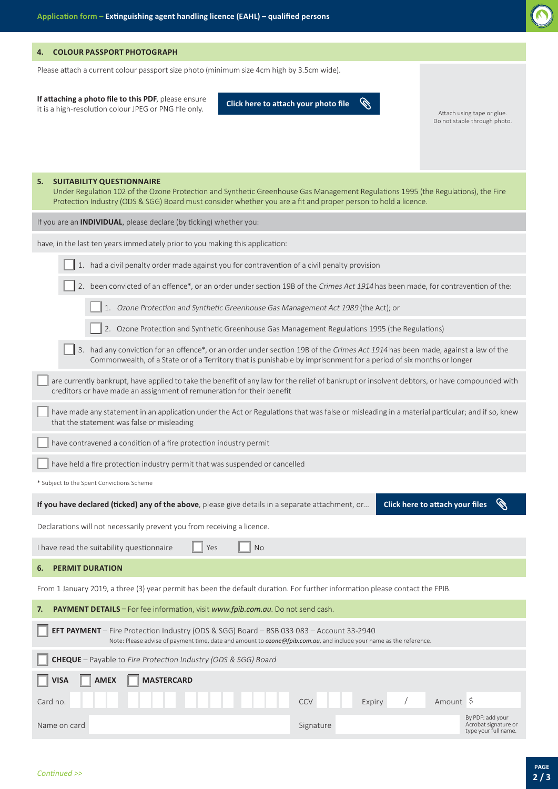

#### **4. COLOUR PASSPORT PHOTOGRAPH**

Please attach a current colour passport size photo (minimum size 4cm high by 3.5cm wide).

**If attaching a photo file to this PDF**, please ensure it is a high-resolution colour JPEG or PNG file only.

**Q Click here to attach your photo file**

Attach using tape or glue. Do not staple through photo.

| 5. | <b>SUITABILITY QUESTIONNAIRE</b><br>Under Regulation 102 of the Ozone Protection and Synthetic Greenhouse Gas Management Regulations 1995 (the Regulations), the Fire<br>Protection Industry (ODS & SGG) Board must consider whether you are a fit and proper person to hold a licence. |                                                                  |  |  |  |  |
|----|-----------------------------------------------------------------------------------------------------------------------------------------------------------------------------------------------------------------------------------------------------------------------------------------|------------------------------------------------------------------|--|--|--|--|
|    | If you are an <b>INDIVIDUAL</b> , please declare (by ticking) whether you:                                                                                                                                                                                                              |                                                                  |  |  |  |  |
|    | have, in the last ten years immediately prior to you making this application:                                                                                                                                                                                                           |                                                                  |  |  |  |  |
|    | 1. had a civil penalty order made against you for contravention of a civil penalty provision                                                                                                                                                                                            |                                                                  |  |  |  |  |
|    | 2. been convicted of an offence*, or an order under section 19B of the Crimes Act 1914 has been made, for contravention of the:                                                                                                                                                         |                                                                  |  |  |  |  |
|    | 1. Ozone Protection and Synthetic Greenhouse Gas Management Act 1989 (the Act); or                                                                                                                                                                                                      |                                                                  |  |  |  |  |
|    | 2. Ozone Protection and Synthetic Greenhouse Gas Management Regulations 1995 (the Regulations)                                                                                                                                                                                          |                                                                  |  |  |  |  |
|    | 3. had any conviction for an offence*, or an order under section 19B of the Crimes Act 1914 has been made, against a law of the<br>Commonwealth, of a State or of a Territory that is punishable by imprisonment for a period of six months or longer                                   |                                                                  |  |  |  |  |
|    | are currently bankrupt, have applied to take the benefit of any law for the relief of bankrupt or insolvent debtors, or have compounded with<br>creditors or have made an assignment of remuneration for their benefit                                                                  |                                                                  |  |  |  |  |
|    | have made any statement in an application under the Act or Regulations that was false or misleading in a material particular; and if so, knew<br>that the statement was false or misleading                                                                                             |                                                                  |  |  |  |  |
|    | have contravened a condition of a fire protection industry permit                                                                                                                                                                                                                       |                                                                  |  |  |  |  |
|    | have held a fire protection industry permit that was suspended or cancelled                                                                                                                                                                                                             |                                                                  |  |  |  |  |
|    | * Subject to the Spent Convictions Scheme                                                                                                                                                                                                                                               |                                                                  |  |  |  |  |
|    | Click here to attach your files<br>If you have declared (ticked) any of the above, please give details in a separate attachment, or                                                                                                                                                     |                                                                  |  |  |  |  |
|    | Declarations will not necessarily prevent you from receiving a licence.                                                                                                                                                                                                                 |                                                                  |  |  |  |  |
|    | I have read the suitability questionnaire<br>Yes<br><b>No</b>                                                                                                                                                                                                                           |                                                                  |  |  |  |  |
| 6. | <b>PERMIT DURATION</b>                                                                                                                                                                                                                                                                  |                                                                  |  |  |  |  |
|    | From 1 January 2019, a three (3) year permit has been the default duration. For further information please contact the FPIB.                                                                                                                                                            |                                                                  |  |  |  |  |
| 7. | PAYMENT DETAILS - For fee information, visit www.fpib.com.au. Do not send cash.                                                                                                                                                                                                         |                                                                  |  |  |  |  |
|    | <b>EFT PAYMENT</b> - Fire Protection Industry (ODS & SGG) Board - BSB 033 083 - Account 33-2940<br>Note: Please advise of payment time, date and amount to ozone@fpib.com.au, and include your name as the reference.                                                                   |                                                                  |  |  |  |  |
|    | <b>CHEQUE</b> - Payable to Fire Protection Industry (ODS & SGG) Board                                                                                                                                                                                                                   |                                                                  |  |  |  |  |
|    | <b>VISA</b><br><b>AMEX</b><br><b>MASTERCARD</b>                                                                                                                                                                                                                                         |                                                                  |  |  |  |  |
|    | Amount \$<br>Card no.<br><b>CCV</b><br>Expiry                                                                                                                                                                                                                                           |                                                                  |  |  |  |  |
|    | Signature<br>Name on card                                                                                                                                                                                                                                                               | By PDF: add your<br>Acrobat signature or<br>type your full name. |  |  |  |  |